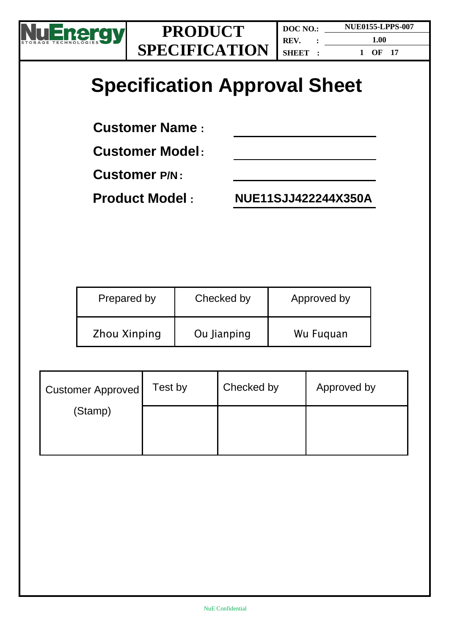

**DOC NO.: REV. : SHEET :**

**NUE0155-LPPS-007 1.00**

**1 OF 17**

# **Specification Approval Sheet**

**Customer Name :**

**Customer Model:**

**Customer P/N :**

**Product Model : NUE11SJJ422244X350A**

| Prepared by         | Checked by  | Approved by |
|---------------------|-------------|-------------|
| <b>Zhou Xinping</b> | Ou Jianping | Wu Fuguan   |

| <b>Customer Approved</b> | Test by | Checked by | Approved by |
|--------------------------|---------|------------|-------------|
| (Stamp)                  |         |            |             |
|                          |         |            |             |
|                          |         |            |             |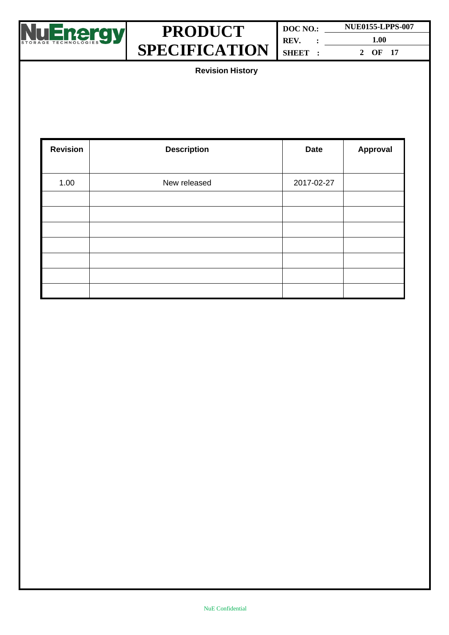

**DOC NO.: REV. : SHEET : NUE0155-LPPS-007 1.00 2 OF 17**

**Revision History**

| <b>Revision</b> | <b>Description</b> | <b>Date</b> | Approval |
|-----------------|--------------------|-------------|----------|
| 1.00            | New released       | 2017-02-27  |          |
|                 |                    |             |          |
|                 |                    |             |          |
|                 |                    |             |          |
|                 |                    |             |          |
|                 |                    |             |          |
|                 |                    |             |          |
|                 |                    |             |          |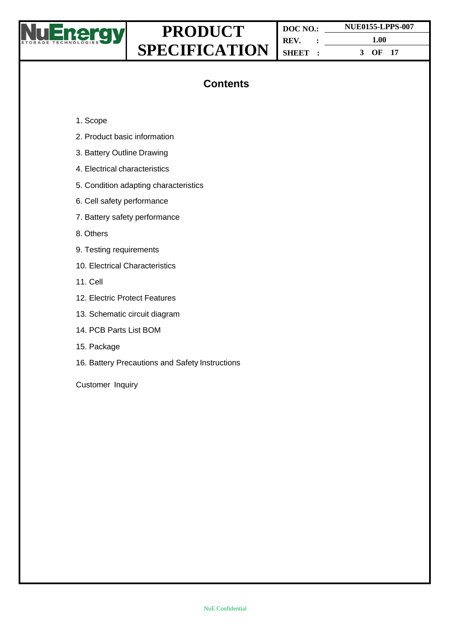

**DOC NO.: REV. : SHEET :**

**1.00 3 OF 17**

**NUE0155-LPPS-007**

## **Contents**

- 1. Scope
- 2. Product basic information
- 3. Battery Outline Drawing
- 4. Electrical characteristics
- 5. Condition adapting characteristics
- 6. Cell safety performance
- 7. Battery safety performance
- 8. Others
- 9. Testing requirements
- 10. Electrical Characteristics
- 11. Cell
- 12. Electric Protect Features
- 13. Schematic circuit diagram
- 14. PCB Parts List BOM
- 15. Package
- 16. Battery Precautions and Safety Instructions

Customer Inquiry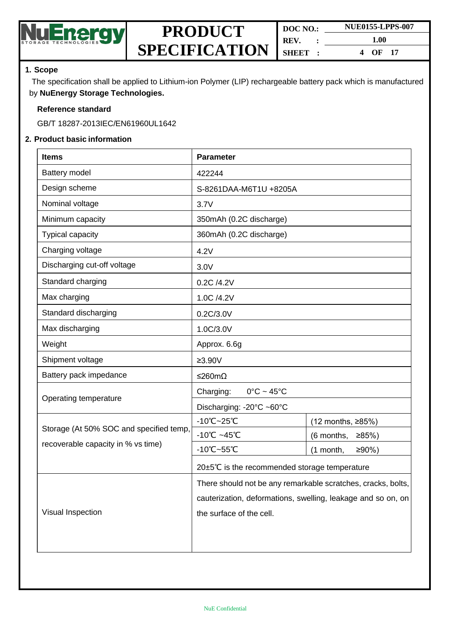

| DOC NO.: | <b>NUE0155-LPPS-007</b> |  |
|----------|-------------------------|--|
| REV.     | 1.00                    |  |
| SHEET :  | OF $17$<br>4            |  |

#### **1. Scope**

The specification shall be applied to Lithium-ion Polymer (LIP) rechargeable battery pack which is manufactured by **NuEnergy Storage Technologies.**

#### **Reference standard**

GB/T 18287-2013IEC/EN61960UL1642

#### **2. Product basic information**

| <b>Items</b>                            | <b>Parameter</b>                                             |                       |  |
|-----------------------------------------|--------------------------------------------------------------|-----------------------|--|
| Battery model                           | 422244                                                       |                       |  |
| Design scheme                           | S-8261DAA-M6T1U +8205A                                       |                       |  |
| Nominal voltage                         | 3.7V                                                         |                       |  |
| Minimum capacity                        | 350mAh (0.2C discharge)                                      |                       |  |
| Typical capacity                        | 360mAh (0.2C discharge)                                      |                       |  |
| Charging voltage                        | 4.2V                                                         |                       |  |
| Discharging cut-off voltage             | 3.0V                                                         |                       |  |
| Standard charging                       | 0.2C /4.2V                                                   |                       |  |
| Max charging                            | 1.0C /4.2V                                                   |                       |  |
| Standard discharging                    | 0.2C/3.0V                                                    |                       |  |
| Max discharging                         | 1.0C/3.0V                                                    |                       |  |
| Weight                                  | Approx. 6.6g                                                 |                       |  |
| Shipment voltage                        | $≥3.90V$                                                     |                       |  |
| Battery pack impedance                  | ≤260mΩ                                                       |                       |  |
| Operating temperature                   | Charging:<br>$0^{\circ}$ C ~ 45 $^{\circ}$ C                 |                       |  |
|                                         | Discharging: -20°C ~60°C                                     |                       |  |
| Storage (At 50% SOC and specified temp, | $-10^{\circ}$ C $-25^{\circ}$ C                              | (12 months, ≥85%)     |  |
|                                         | $-10^{\circ}$ C ~45 $^{\circ}$ C                             | (6 months,<br>≥85%    |  |
| recoverable capacity in % vs time)      | -10°C~55°C                                                   | $≥90%$ )<br>(1 month, |  |
|                                         | 20±5℃ is the recommended storage temperature                 |                       |  |
|                                         | There should not be any remarkable scratches, cracks, bolts, |                       |  |
|                                         | cauterization, deformations, swelling, leakage and so on, on |                       |  |
| Visual Inspection                       | the surface of the cell.                                     |                       |  |
|                                         |                                                              |                       |  |
|                                         |                                                              |                       |  |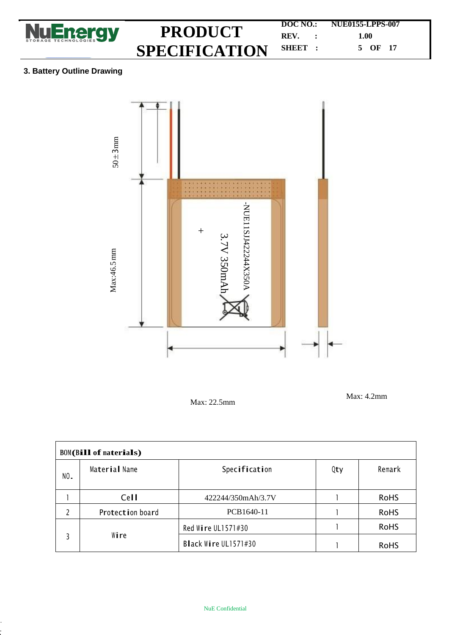

**DOC NO.: NUE0155-LPPS-007 REV. : 1.00 SHEET : 5 OF 17**

### **3. Battery Outline Drawing**



Max: 22.5mm

Max: 4.2mm

| <b>BOM(Bill of materials)</b> |                  |                      |     |             |  |
|-------------------------------|------------------|----------------------|-----|-------------|--|
| NO.                           | Material Name    | Specification        | Qty | Remark      |  |
|                               | Cell             | 422244/350mAh/3.7V   |     | <b>RoHS</b> |  |
|                               | Protection board | PCB1640-11           |     | <b>RoHS</b> |  |
|                               |                  | Red Wire UL1571#30   |     | <b>RoHS</b> |  |
|                               | Wire             | Black Wire UL1571#30 |     | <b>RoHS</b> |  |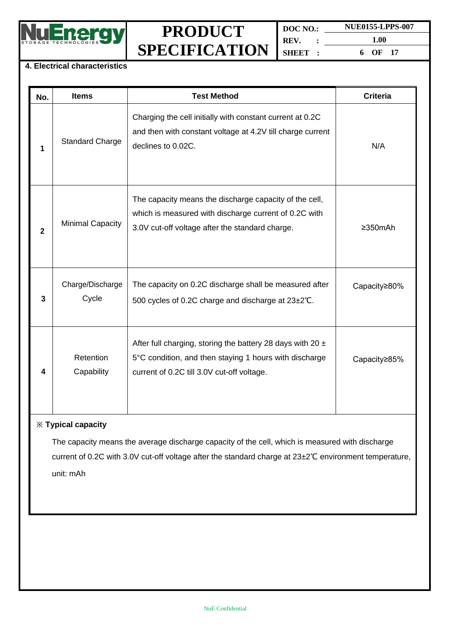

**DOC NO.: REV. : SHEET : NUE0155-LPPS-007 1.00 6 OF 17**

#### **4. Electrical characteristics**

| No.          | <b>Items</b>              | <b>Test Method</b>                                                                                                                                                     | <b>Criteria</b> |
|--------------|---------------------------|------------------------------------------------------------------------------------------------------------------------------------------------------------------------|-----------------|
| 1            | <b>Standard Charge</b>    | Charging the cell initially with constant current at 0.2C<br>and then with constant voltage at 4.2V till charge current<br>declines to 0.02C.                          | N/A             |
| $\mathbf{2}$ | <b>Minimal Capacity</b>   | The capacity means the discharge capacity of the cell,<br>which is measured with discharge current of 0.2C with<br>3.0V cut-off voltage after the standard charge.     | $\geq$ 350mAh   |
| 3            | Charge/Discharge<br>Cycle | The capacity on 0.2C discharge shall be measured after<br>500 cycles of 0.2C charge and discharge at 23±2°C.                                                           | Capacity≥80%    |
| 4            | Retention<br>Capability   | After full charging, storing the battery 28 days with 20 $\pm$<br>5°C condition, and then staying 1 hours with discharge<br>current of 0.2C till 3.0V cut-off voltage. | Capacity≥85%    |

### **※ Typical capacity**

The capacity means the average discharge capacity of the cell, which is measured with discharge current of 0.2C with 3.0V cut-off voltage after the standard charge at 23±2℃ environment temperature, unit: mAh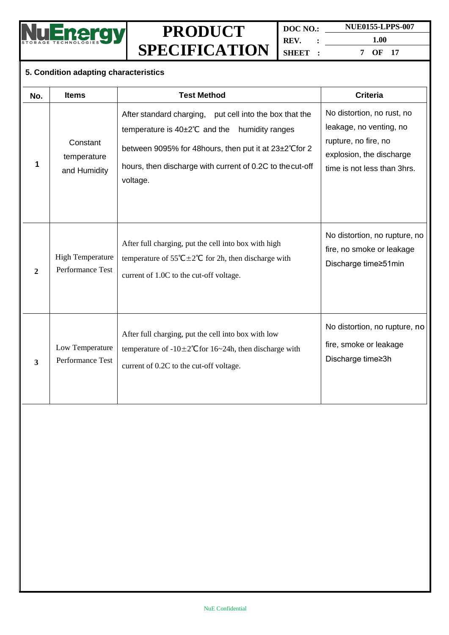

**DOC NO.: REV. : SHEET : NUE0155-LPPS-007 1.00 7 OF 17**

#### **5. Condition adapting characteristics**

| No.          | <b>Items</b>                                | <b>Test Method</b>                                                                                                                                                                                                                                         | <b>Criteria</b>                                                                                                                          |
|--------------|---------------------------------------------|------------------------------------------------------------------------------------------------------------------------------------------------------------------------------------------------------------------------------------------------------------|------------------------------------------------------------------------------------------------------------------------------------------|
| 1            | Constant<br>temperature<br>and Humidity     | After standard charging, put cell into the box that the<br>temperature is $40\pm2^{\circ}C$ and the<br>humidity ranges<br>between 9095% for 48 hours, then put it at 23±2°C for 2<br>hours, then discharge with current of 0.2C to the cut-off<br>voltage. | No distortion, no rust, no<br>leakage, no venting, no<br>rupture, no fire, no<br>explosion, the discharge<br>time is not less than 3hrs. |
| $\mathbf{2}$ | <b>High Temperature</b><br>Performance Test | After full charging, put the cell into box with high<br>temperature of 55°C $\pm$ 2°C for 2h, then discharge with<br>current of 1.0C to the cut-off voltage.                                                                                               | No distortion, no rupture, no<br>fire, no smoke or leakage<br>Discharge time≥51min                                                       |
| 3            | Low Temperature<br>Performance Test         | After full charging, put the cell into box with low<br>temperature of $-10\pm 2^{\circ}$ C for 16~24h, then discharge with<br>current of 0.2C to the cut-off voltage.                                                                                      | No distortion, no rupture, no<br>fire, smoke or leakage<br>Discharge time≥3h                                                             |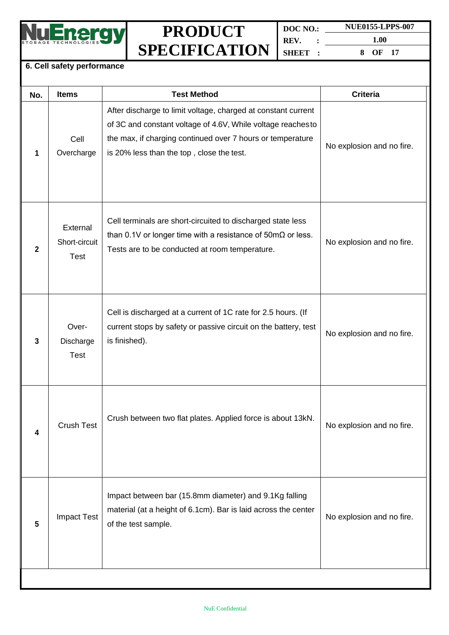

| DOC NO. | <b>NUE0155-LPPS-007</b> |  |  |
|---------|-------------------------|--|--|
| REV.    | 1.00                    |  |  |
| SHEET : | OF $17$                 |  |  |

#### **6. Cell safety performance**

| No.          | <b>Items</b>                             | <b>Test Method</b>                                                                                                                                                                                                                      | <b>Criteria</b>           |
|--------------|------------------------------------------|-----------------------------------------------------------------------------------------------------------------------------------------------------------------------------------------------------------------------------------------|---------------------------|
| 1            | Cell<br>Overcharge                       | After discharge to limit voltage, charged at constant current<br>of 3C and constant voltage of 4.6V, While voltage reachesto<br>the max, if charging continued over 7 hours or temperature<br>is 20% less than the top, close the test. | No explosion and no fire. |
| $\mathbf{2}$ | External<br>Short-circuit<br><b>Test</b> | Cell terminals are short-circuited to discharged state less<br>than 0.1V or longer time with a resistance of $50 \text{m}\Omega$ or less.<br>Tests are to be conducted at room temperature.                                             | No explosion and no fire. |
| 3            | Over-<br>Discharge<br><b>Test</b>        | Cell is discharged at a current of 1C rate for 2.5 hours. (If<br>current stops by safety or passive circuit on the battery, test<br>is finished).                                                                                       | No explosion and no fire. |
| 4            | <b>Crush Test</b>                        | Crush between two flat plates. Applied force is about 13kN.                                                                                                                                                                             | No explosion and no fire. |
| 5            | <b>Impact Test</b>                       | Impact between bar (15.8mm diameter) and 9.1Kg falling<br>material (at a height of 6.1cm). Bar is laid across the center<br>of the test sample.                                                                                         | No explosion and no fire. |
|              |                                          |                                                                                                                                                                                                                                         |                           |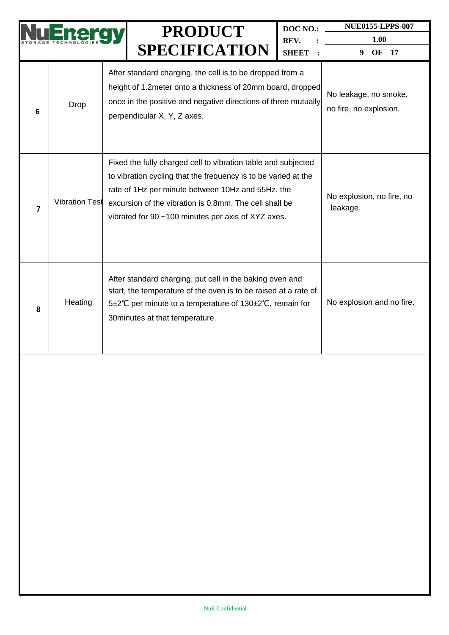|                |                       | <b>PRODUCT</b>                                                                                                                                                                                                                                                                                       | DOC NO.:             | <b>NUE0155-LPPS-007</b>                         |
|----------------|-----------------------|------------------------------------------------------------------------------------------------------------------------------------------------------------------------------------------------------------------------------------------------------------------------------------------------------|----------------------|-------------------------------------------------|
|                |                       | <b>SPECIFICATION</b>                                                                                                                                                                                                                                                                                 | REV.<br><b>SHEET</b> | 1.00<br>OF<br>- 17<br>9                         |
| 6              | Drop                  | After standard charging, the cell is to be dropped from a<br>height of 1.2 meter onto a thickness of 20mm board, dropped<br>once in the positive and negative directions of three mutually<br>perpendicular X, Y, Z axes.                                                                            |                      | No leakage, no smoke,<br>no fire, no explosion. |
| $\overline{7}$ | <b>Vibration Test</b> | Fixed the fully charged cell to vibration table and subjected<br>to vibration cycling that the frequency is to be varied at the<br>rate of 1Hz per minute between 10Hz and 55Hz, the<br>excursion of the vibration is 0.8mm. The cell shall be<br>vibrated for 90 ~100 minutes per axis of XYZ axes. |                      | No explosion, no fire, no<br>leakage.           |
| 8              | Heating               | After standard charging, put cell in the baking oven and<br>start, the temperature of the oven is to be raised at a rate of<br>5±2℃ per minute to a temperature of 130±2℃, remain for<br>30 minutes at that temperature.                                                                             |                      | No explosion and no fire.                       |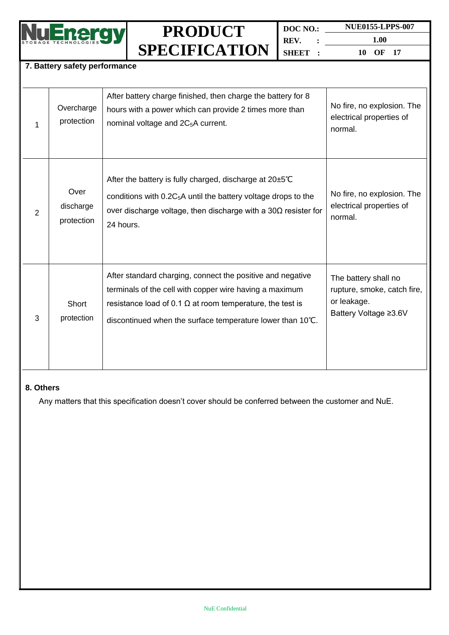

**DOC NO.: REV. : SHEET : NUE0155-LPPS-007 1.00**

**10 OF 17**

#### **7. Battery safety performance**

|   | Overcharge<br>protection        | After battery charge finished, then charge the battery for 8<br>hours with a power which can provide 2 times more than<br>nominal voltage and 2C <sub>5</sub> A current.                                                                                | No fire, no explosion. The<br>electrical properties of<br>normal.                           |
|---|---------------------------------|---------------------------------------------------------------------------------------------------------------------------------------------------------------------------------------------------------------------------------------------------------|---------------------------------------------------------------------------------------------|
| 2 | Over<br>discharge<br>protection | After the battery is fully charged, discharge at 20±5°C<br>conditions with $0.2C_5A$ until the battery voltage drops to the<br>over discharge voltage, then discharge with a $30\Omega$ resister for<br>24 hours.                                       | No fire, no explosion. The<br>electrical properties of<br>normal.                           |
| 3 | Short<br>protection             | After standard charging, connect the positive and negative<br>terminals of the cell with copper wire having a maximum<br>resistance load of 0.1 $\Omega$ at room temperature, the test is<br>discontinued when the surface temperature lower than 10°C. | The battery shall no<br>rupture, smoke, catch fire,<br>or leakage.<br>Battery Voltage ≥3.6V |

#### **8. Others**

Any matters that this specification doesn't cover should be conferred between the customer and NuE.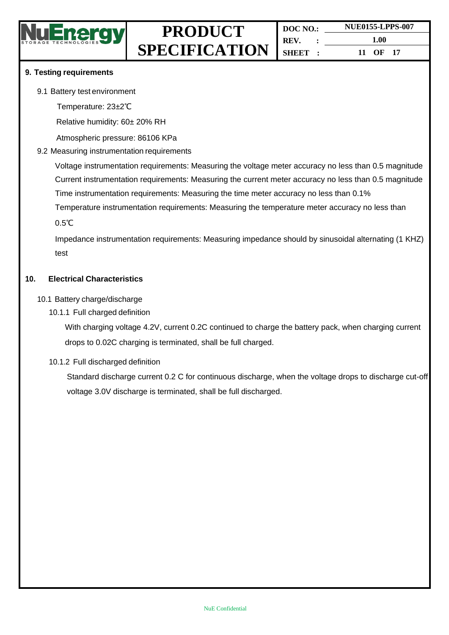| DOC NO.: | <b>NUE0155-LPPS-007</b> |  |  |
|----------|-------------------------|--|--|
| REV.     | 1.00                    |  |  |
| SHEET :  | 11 OF 17                |  |  |

#### **9. Testing requirements**

#### 9.1 Battery test environment

Temperature: 23±2℃

Relative humidity: 60± 20% RH

Atmospheric pressure: 86106 KPa

#### 9.2 Measuring instrumentation requirements

Voltage instrumentation requirements: Measuring the voltage meter accuracy no less than 0.5 magnitude Current instrumentation requirements: Measuring the current meter accuracy no less than 0.5 magnitude Time instrumentation requirements: Measuring the time meter accuracy no less than 0.1%

Temperature instrumentation requirements: Measuring the temperature meter accuracy no less than

0.5℃

Impedance instrumentation requirements: Measuring impedance should by sinusoidal alternating (1 KHZ) test

#### **10. Electrical Characteristics**

#### 10.1 Battery charge/discharge

10.1.1 Full charged definition

With charging voltage 4.2V, current 0.2C continued to charge the battery pack, when charging current drops to 0.02C charging is terminated, shall be full charged.

#### 10.1.2 Full discharged definition

Standard discharge current 0.2 C for continuous discharge, when the voltage drops to discharge cut-off voltage 3.0V discharge is terminated, shall be full discharged.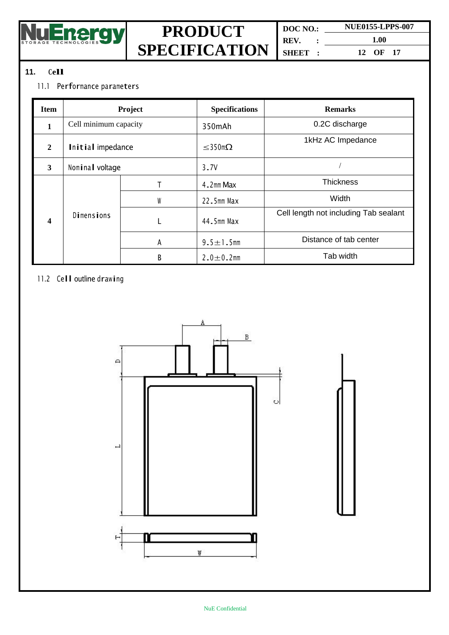

**DOC NO.: REV. : SHEET :**

**NUE0155-LPPS-007 1.00 12 OF 17**

### **11. Cell**

### 11.1 Performance parameters

| Item | Project               |   | <b>Specifications</b> | <b>Remarks</b>                        |
|------|-----------------------|---|-----------------------|---------------------------------------|
|      | Cell minimum capacity |   | 350mAh                | 0.2C discharge                        |
| 2    | Initial impedance     |   | $\leq$ 350m $\Omega$  | 1kHz AC Impedance                     |
| 3    | Nominal voltage       |   | 3.7V                  |                                       |
| 4    | <b>Dimensions</b>     |   | 4.2mm Max             | <b>Thickness</b>                      |
|      |                       | W | $22.5$ mm Max         | Width                                 |
|      |                       |   | 44.5mm Max            | Cell length not including Tab sealant |
|      |                       | A | $9.5 \pm 1.5$ mm      | Distance of tab center                |
|      |                       | B | $2.0 \pm 0.2$ mm      | Tab width                             |

### 11.2 Cell outline drawing

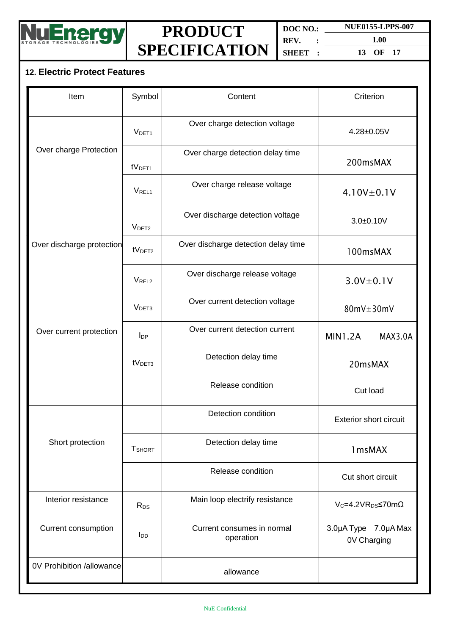

**DOC NO.: NUE0155-LPPS-007 REV. : SHEET :**

**1.00 13 OF 17**

## **12. Electric Protect Features**

| Item                      | Symbol             | Content<br>Criterion                    |                                     |  |
|---------------------------|--------------------|-----------------------------------------|-------------------------------------|--|
|                           | V <sub>DET1</sub>  | Over charge detection voltage           | $4.28 \pm 0.05$ V                   |  |
| Over charge Protection    | tV <sub>DET1</sub> | Over charge detection delay time        | 200msMAX                            |  |
|                           | V <sub>REL1</sub>  | Over charge release voltage             | $4.10V \pm 0.1V$                    |  |
|                           | V <sub>DET2</sub>  | Over discharge detection voltage        | $3.0 + 0.10V$                       |  |
| Over discharge protection | tV <sub>DET2</sub> | Over discharge detection delay time     | 100msMAX                            |  |
|                           | V <sub>REL2</sub>  | Over discharge release voltage          | $3.0V \pm 0.1V$                     |  |
|                           | V <sub>DET3</sub>  | Over current detection voltage          | $80mV \pm 30mV$                     |  |
| Over current protection   | $I_{DP}$           | Over current detection current          | <b>MIN1.2A</b><br>MAX3.0A           |  |
|                           | tV <sub>DET3</sub> | Detection delay time                    | 20msMAX                             |  |
|                           |                    | Release condition                       | Cut load                            |  |
|                           |                    | Detection condition                     | <b>Exterior short circuit</b>       |  |
| Short protection          | <b>T</b> SHORT     | Detection delay time                    | 1msMAX                              |  |
|                           |                    | Release condition                       | Cut short circuit                   |  |
| Interior resistance       | R <sub>DS</sub>    | Main loop electrify resistance          | $V_c = 4.2 VR_{DS} \le 70 m\Omega$  |  |
| Current consumption       | $I_{DD}$           | Current consumes in normal<br>operation | 3.0µA Type 7.0µA Max<br>0V Charging |  |
| 0V Prohibition /allowance |                    | allowance                               |                                     |  |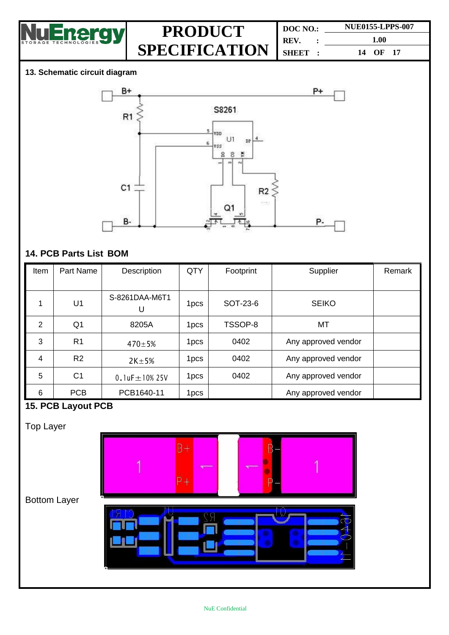

| DOC NO.:       |  | <b>NUE0155-LPPS-007</b> |  |  |
|----------------|--|-------------------------|--|--|
| REV.           |  | 1.00                    |  |  |
| <b>SHBET :</b> |  | 14 OF 17                |  |  |

### **13. Schematic circuit diagram**



### **14. PCB Parts List BOM**

| Item | Part Name      | Description           | QTY              | Footprint | Supplier            | Remark |
|------|----------------|-----------------------|------------------|-----------|---------------------|--------|
|      |                |                       |                  |           |                     |        |
|      | U1             | S-8261DAA-M6T1<br>U   | 1 <sub>pcs</sub> | SOT-23-6  | <b>SEIKO</b>        |        |
| 2    | Q <sub>1</sub> | 8205A                 | 1 <sub>pcs</sub> | TSSOP-8   | MT                  |        |
| 3    | R <sub>1</sub> | $470 \pm 5%$          | 1 <sub>pcs</sub> | 0402      | Any approved vendor |        |
| 4    | R <sub>2</sub> | $2K+5%$               | 1pcs             | 0402      | Any approved vendor |        |
| 5    | C <sub>1</sub> | 0.1 $uF \pm 10\%$ 25V | 1 <sub>pcs</sub> | 0402      | Any approved vendor |        |
| 6    | <b>PCB</b>     | PCB1640-11            | 1pcs             |           | Any approved vendor |        |

### **15. PCB Layout PCB**

Top Layer

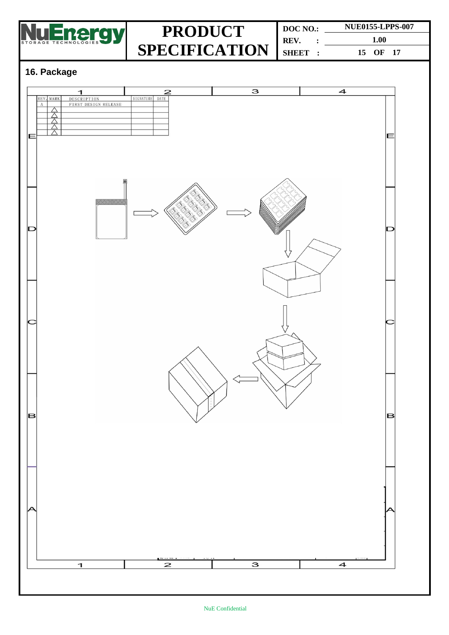

**DOC NO.: REV. : SHEET : NUE0155-LPPS-007 1.00 15 OF 17**

## **16. Package**

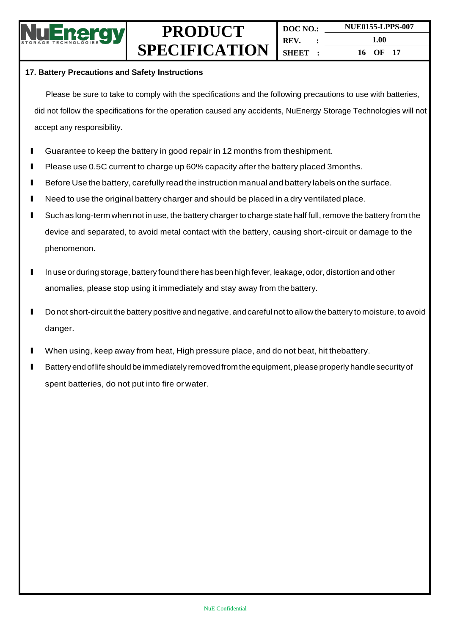

#### **17. Battery Precautions and Safety Instructions**

Please be sure to take to comply with the specifications and the following precautions to use with batteries, did not follow the specifications for the operation caused any accidents, NuEnergy Storage Technologies will not accept any responsibility.

- l Guarantee to keep the battery in good repair in <sup>12</sup> months from theshipment.
- **I** Please use 0.5C current to charge up 60% capacity after the battery placed 3months.
- **I** Before Use the battery, carefully read the instruction manual and battery labels on the surface.
- **I** Need to use the original battery charger and should be placed in a dry ventilated place.
- **I** Such as long-term when not in use, the battery charger to charge state half full, remove the battery from the device and separated, to avoid metal contact with the battery, causing short-circuit or damage to the phenomenon.
- I In use or during storage, battery found there has been high fever, leakage, odor, distortion and other anomalies, please stop using it immediately and stay away from thebattery.
- **I** Do not short-circuit the battery positive and negative, and careful not to allow the battery to moisture, to avoid danger.
- l When using, keep away from heat, High pressure place, and do not beat, hit thebattery.
- **Battery end of life should be immediately removed from the equipment, please properly handle security of** spent batteries, do not put into fire orwater.